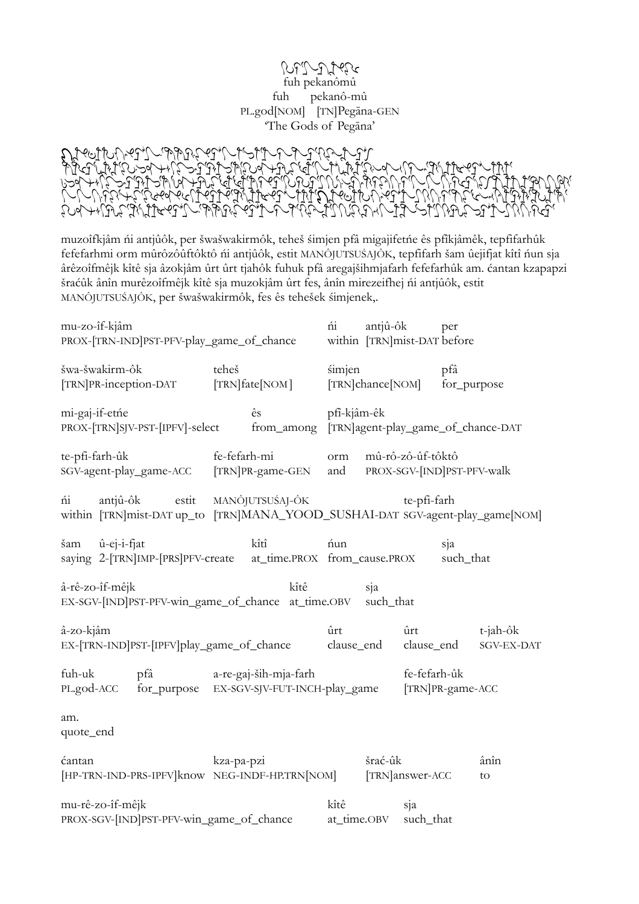## $\mathcal{P}$ dh fuh pekanômû fuh pekanô-mû PL.god[NOM] [TN]Pegāna-GEN 'The Gods of Pegāna'

zlxk;swnylikf[ajupeOleOlfguzkf[qjwpmwpsjrjejfpygzIjxjf[\  $\delta$ uldhf $\delta$ ylp $\gamma$ p $\gamma$ p $\gamma$ kf $\gamma$ ant, b $\delta$ ylp $\gamma$ fush $\gamma$ p $\gamma$ lp $\gamma$ f $\gamma$ k $\gamma$  $\mathcal{U}$ ppf $\mathcal{U}$ ppf $\mathcal{U}$ f $\mathcal{U}$ f $\mathcal{U}$ y $\mathcal{U}$ l $\mathcal{U}$ q $\mathcal{U}$ l $\mathcal{U}$ f $\mathcal{U}$ g $\mathcal{U}$ ftl $\mathcal{U}$ g $\mathcal{U}$ g $\mathcal{U}$ g $\mathcal{U}$  $\mathcal{L}_{\mathcal{L}}$ j $\mathcal{L}_{\mathcal{L}}$ just $\mathcal{L}_{\mathcal{L}}$ jaq $\mathcal{L}_{\mathcal{L}}$ jagg $\mathcal{L}_{\mathcal{L}}$ proglurpelzphji g $\mathcal{L}_{\mathcal{L}}$ jaq $\mathcal{L}_{\mathcal{L}}$  $Z$ p $\mathcal{L}_{\mathcal{A}}$ ligu $Z$ 

muzoîfkjâm ńi antjûôk, per šwašwakirmôk, teheš śimjen pfâ migajifetńe ês pfîkjâmêk, tepfifarhûk fefefarhmi orm mûrôzôûftôktô ńi antjûôk, estit MANÔJUTSUŚAJÔK, tepfifarh šam ûejifjat kîtî ńun sja ârêzoîfmêjk kîtê sja âzokjâm ûrt ûrt tjahôk fuhuk pfâ aregajšihmjafarh fefefarhûk am. ćantan kzapapzi šraćûk ânîn murêzoîfmêjk kîtê sja muzokjâm ûrt fes, ânîn mirezeifhej ńi antjûôk, estit MANÔJUTSUŚAJÔK, per šwašwakirmôk, fes ês tehešek śimjenek,.

| mu-zo-îf-kjâm<br>PROX-[TRN-IND]PST-PFV-play_game_of_chance                                      |                                | ńi<br>antjû-ôk                                                                               | per<br>within [TRN]mist-DAT before             |            |
|-------------------------------------------------------------------------------------------------|--------------------------------|----------------------------------------------------------------------------------------------|------------------------------------------------|------------|
| šwa-šwakirm-ôk<br>[TRN]PR-inception-DAT [TRN]fate[NOM]                                          | teheš                          | simjen<br>[TRN]chance[NOM]                                                                   | pfâ<br>for_purpose                             |            |
| mi-gaj-if-etne<br>PROX-[TRN]SJV-PST-[IPFV]-select from_among [TRN]agent-play_game_of_chance-DAT | ês                             | pfî-kjâm-êk                                                                                  |                                                |            |
| te-pfi-farh-ûk                                                                                  | fe-fefarh-mi<br>orm            | mû-rô-zô-ûf-tôktô<br>SGV-agent-play_game-ACC [TRN]PR-game-GEN and PROX-SGV-[IND]PST-PFV-walk |                                                |            |
| ńi<br>within [TRN]mist-DAT up_to [TRN]MANA_YOOD_SUSHAI-DAT SGV-agent-play_game[NOM]             | antjû-ôk estit MANÔJUTSUŚAJ-ÔK |                                                                                              | te-pfi-farh                                    |            |
| $\hat{u}$ -ej-i-fjat<br>šam<br>saying 2-[TRN]IMP-[PRS]PFV-create at_time.PROX from_cause.PROX   | kîtî                           | ńun                                                                                          | sja<br>such_that                               |            |
| â-rê-zo-îf-mêjk<br>EX-SGV-[IND]PST-PFV-win_game_of_chance at_time.OBV such_that                 | kîtê                           | sja                                                                                          |                                                |            |
| â-zo-kjâm<br>EX-[TRN-IND]PST-[IPFV]play_game_of_chance                                          |                                | ûrt                                                                                          | ûrt<br>$t$ -jah-ô $k$<br>clause_end clause_end | SGV-EX-DAT |
| fuh-uk<br>pfâ<br>PL.god-ACC for_purpose EX-SGV-SJV-FUT-INCH-play_game [TRN]PR-game-ACC          | a-re-gaj-ših-mja-farh          |                                                                                              | fe-fefarh-ûk                                   |            |
| am.<br>quote_end                                                                                |                                |                                                                                              |                                                |            |
| ćantan<br>[HP-TRN-IND-PRS-IPFV]know NEG-INDF-HP.TRN[NOM]                                        | kza-pa-pzi                     | šrać-ûk                                                                                      | [TRN]answer-ACC                                | ânîn<br>to |
| mu-rê-zo-îf-mêjk<br>PROX-SGV-[IND]PST-PFV-win_game_of_chance                                    |                                | kîtê<br>at_time.OBV                                                                          | sja<br>such_that                               |            |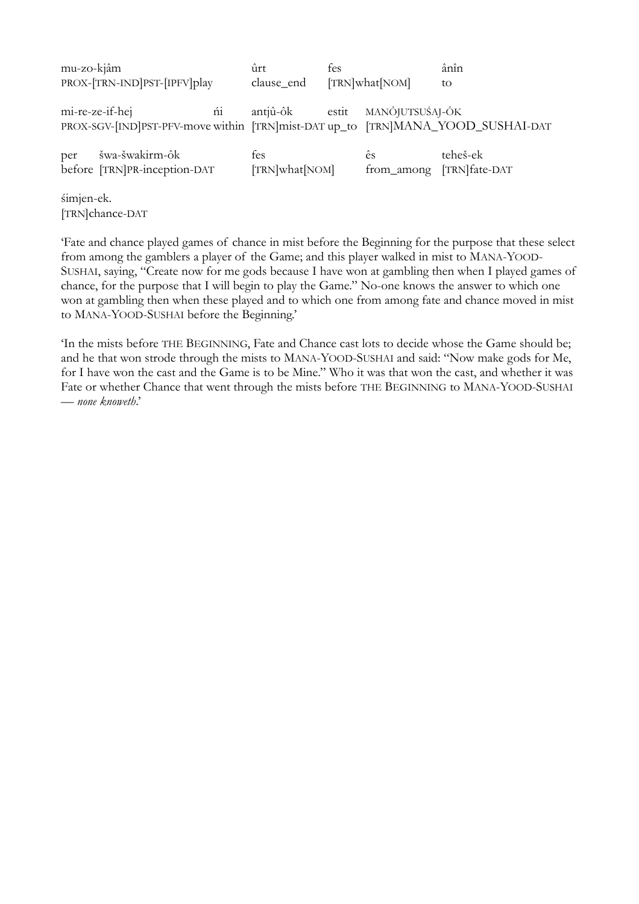| mu-zo-kjâm                                                                                               | ûrt                   | fes   |                  | ânîn                       |
|----------------------------------------------------------------------------------------------------------|-----------------------|-------|------------------|----------------------------|
| PROX-[TRN-IND]PST-[IPFV]play                                                                             | clause_end            |       | [TRN]what[NOM]   | to                         |
| ńi<br>mi-re-ze-if-hej<br>PROX-SGV-[IND]PST-PFV-move within [TRN]mist-DAT up_to [TRN]MANA_YOOD_SUSHAI-DAT | antjû-ôk              | estit | MANÔJUTSUŚAJ-ÔK  |                            |
| šwa-šwakirm-ôk<br>per<br>before [TRN]PR-inception-DAT                                                    | fes<br>[TRN]what[NOM] |       | ês<br>from_among | teheš-ek<br>[TRN] fate-DAT |
| śimjen-ek.<br>[TRN]chance-DAT                                                                            |                       |       |                  |                            |

'Fate and chance played games of chance in mist before the Beginning for the purpose that these select from among the gamblers a player of the Game; and this player walked in mist to MANA-YOOD-SUSHAI, saying, "Create now for me gods because I have won at gambling then when I played games of chance, for the purpose that I will begin to play the Game." No-one knows the answer to which one won at gambling then when these played and to which one from among fate and chance moved in mist to MANA-YOOD-SUSHAI before the Beginning.'

'In the mists before THE BEGINNING, Fate and Chance cast lots to decide whose the Game should be; and he that won strode through the mists to MANA-YOOD-SUSHAI and said: "Now make gods for Me, for I have won the cast and the Game is to be Mine." Who it was that won the cast, and whether it was Fate or whether Chance that went through the mists before THE BEGINNING to MANA-YOOD-SUSHAI — *none knoweth*.'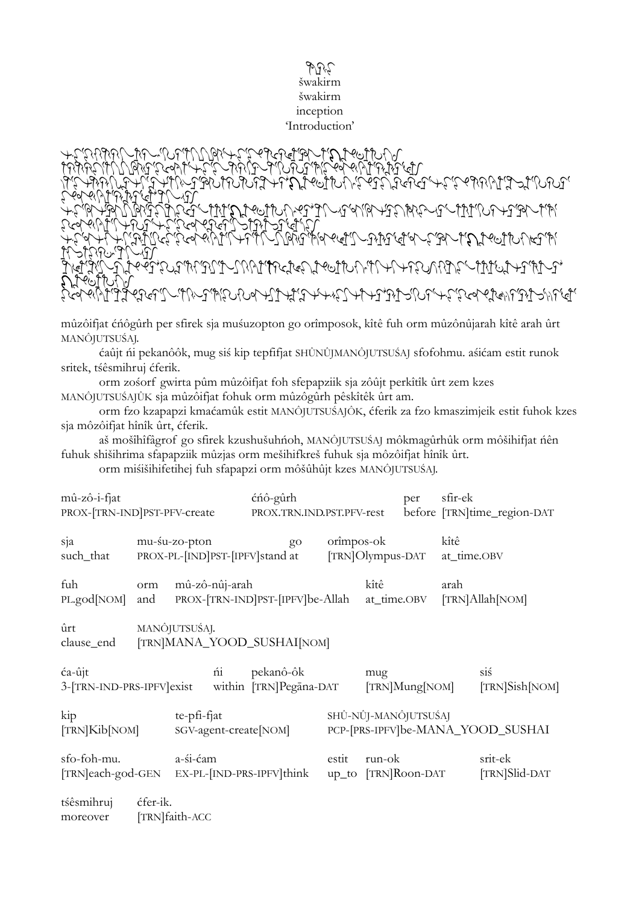## eOlfguz šwakirm šwakirm inception 'Introduction'

 $\mathcal{L}_{\mathcal{F}}$ lalatgegraphi $\mathcal{L}_{\mathcal{F}}$ p $\mathcal{L}_{\mathcal{F}}$  $\mathcal{L}_{\mathcal{B}}$ lepty. Lepty for the particle of the strategraph  $\delta$ zktk gqIlsprbxbfphus[dqju gf\ ,uzpqt,pftlalatgpfzldlzhfpjwsgspzlxk;swnylikf[dqju gfptlpqt,pfzlwtgzIj gfpjwsgspqnr,fpftjwpwIlp  $z$ chkilj $\lambda$ lsp $\mathcal{L}_{\mathcal{F}}$ ngl $\mathcal{L}_{\mathcal{F}}$ lzamm $\mathcal{L}_{\mathcal{F}}$ ,galatik galat $\mathcal{L}$ jalatg $\mathcal{L}$ jalatga $\mathcal{L}$ ptyp $\mathcal{L}$  $\mathbb{C}$ n af Signa $\mathbb{C}$  $\mathcal{L}_{\mathcal{A}}$ isp $\mathcal{L}_{\mathcal{A}}$  and  $\mathcal{L}_{\mathcal{A}}$  and  $\mathcal{L}_{\mathcal{A}}$  and  $\mathcal{L}_{\mathcal{A}}$  and  $\mathcal{L}_{\mathcal{A}}$  and  $\mathcal{L}_{\mathcal{A}}$  $\mathcal{L}$ zyk $\mathcal{L}$ lik $\mathcal{L}$  $z\in\mathcal{X}$ 

mûzôifjat ćńôgûrh per sfirek sja muśuzopton go orîmposok, kîtê fuh orm mûzônûjarah kîtê arah ûrt MANÔJUTSUŚAJ.

ćaûjt ńi pekanôôk, mug siś kip tepfifjat SHÛNÛJMANÔJUTSUŚAJ sfofohmu. aśićam estit runok sritek, tśêsmihruj ćferik.

orm zośorf gwirta pûm mûzôifjat foh sfepapziik sja zôûjt perkîtîk ûrt zem kzes MANÔJUTSUŚAJÛK sja mûzôifjat fohuk orm mûzôgûrh pêskîtêk ûrt am.

orm fzo kzapapzi kmaćamûk estit MANÔJUTSUŚAJÔK, ćferik za fzo kmaszimjeik estit fuhok kzes sja môzôifjat hînîk ûrt, ćferik.

aš mošîhîfâgrof go sfirek kzushušuhńoh, MANÔJUTSUŚAJ môkmagûrhûk orm môšihifjat ńên fuhuk shišihrima sfapapziik mûzjas orm mešihifkreš fuhuk sja môzôifjat hînîk ûrt.

orm miśišihifetihej fuh sfapapzi orm môšûhûjt kzes MANÔJUTSUŚAJ.

| $m\hat{u}$ -zô-i-fjat                                      | PROX-[TRN-IND]PST-PFV-create |                                                                |                        | ćńô-gûrh<br>PROX.TRN.IND.PST.PFV-rest              |       |                                    | per | sfir-ek<br>before [TRN]time_region-DAT |                                   |  |
|------------------------------------------------------------|------------------------------|----------------------------------------------------------------|------------------------|----------------------------------------------------|-------|------------------------------------|-----|----------------------------------------|-----------------------------------|--|
| sja<br>such_that                                           |                              | mu-su-zo-pton<br>go<br>PROX-PL-[IND]PST-[IPFV]stand at         |                        |                                                    |       | orimpos-ok<br>[TRN]Olympus-DAT     |     |                                        | kîtê<br>at_time.OBV               |  |
| fuh<br>PL.god[NOM]                                         | orm<br>and                   | mû-zô-nûj-arah<br>PROX-[TRN-IND]PST-[IPFV]be-Allah at_time.OBV |                        |                                                    |       | kîtê                               |     | arah<br>[TRN]Allah[NOM]                |                                   |  |
| ûrt<br>clause_end [TRN]MANA_YOOD_SUSHAI[NOM]               | MANÔJUTSUŚAJ.                |                                                                |                        |                                                    |       |                                    |     |                                        |                                   |  |
| ća-ûjt<br>3-[TRN-IND-PRS-IPFV]exist                        |                              |                                                                | $\overline{\text{ni}}$ | pekanô-ôk<br>within [TRN]Pegāna-DAT [TRN]Mung[NOM] |       | mug                                |     |                                        | siś<br>[TRN]Sish[NOM]             |  |
| kip<br>[TRN]Kib[NOM]                                       |                              | te-pfi-fjat                                                    |                        | SGV-agent-create[NOM]                              |       | SHÛ-NÛJ-MANÔJUTSUŚAJ               |     |                                        | PCP-[PRS-IPFV]be-MANA_YOOD_SUSHAI |  |
| sfo-foh-mu.<br>[TRN]each-god-GEN EX-PL-[IND-PRS-IPFV]think |                              | a-śi-ćam                                                       |                        |                                                    | estit | run-ok<br>$up_to$ $[TRN]$ Roon-DAT |     |                                        | srit-ek<br>[TRN]Slid-DAT          |  |
| tśêsmihruj<br>moreover                                     | ćfer-ik.                     | [TRN]faith-ACC                                                 |                        |                                                    |       |                                    |     |                                        |                                   |  |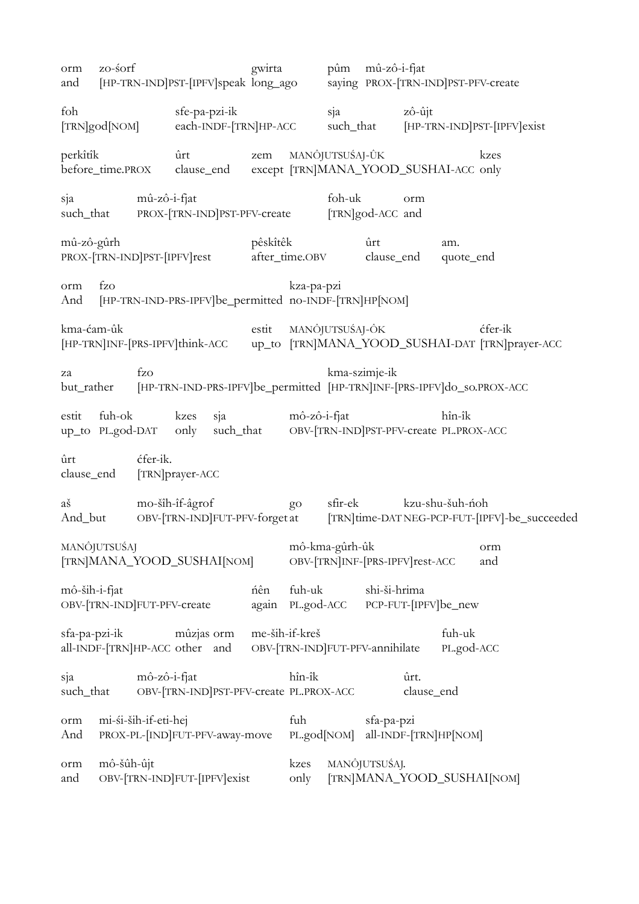| orm<br>and       | zo-śorf                                                |              |                              |     | gwirta                |                                                   |        | pûm mû-zô-i-fjat                                                        |                    |                       | [HP-TRN-IND]PST-[IPFV]speak long_ago saying PROX-[TRN-IND]PST-PFV-create                   |  |
|------------------|--------------------------------------------------------|--------------|------------------------------|-----|-----------------------|---------------------------------------------------|--------|-------------------------------------------------------------------------|--------------------|-----------------------|--------------------------------------------------------------------------------------------|--|
| foh              | [TRN]god[NOM]                                          |              | sfe-pa-pzi-ik                |     | each-INDF-[TRN]HP-ACC |                                                   | sja    |                                                                         | zô-ûjt             |                       | such_that [HP-TRN-IND]PST-[IPFV]exist                                                      |  |
| perkîtîk         | before_time.PROX                                       |              | $\hat{u}$ rt                 |     | zem                   |                                                   |        | MANÔJUTSUŚAJ-ÛK<br>clause_end except [TRN]MANA_YOOD_SUSHAI-ACC only     |                    |                       | kzes                                                                                       |  |
| sja              |                                                        | mû-zô-i-fjat |                              |     |                       |                                                   | foh-uk | such_that PROX-[TRN-IND]PST-PFV-create [TRN]god-ACC and                 | orm                |                       |                                                                                            |  |
| mû-zô-gûrh       | PROX-[TRN-IND]PST-[IPFV]rest                           |              |                              |     | pêskîtêk              | after_time.OBV                                    |        | ûrt<br>clause_end quote_end                                             |                    | am.                   |                                                                                            |  |
| orm<br>And       | fzo                                                    |              |                              |     |                       | kza-pa-pzi                                        |        | [HP-TRN-IND-PRS-IPFV]be_permitted no-INDF-[TRN]HP[NOM]                  |                    |                       |                                                                                            |  |
| kma-ćam-ûk       |                                                        |              |                              |     |                       | estit MANÔJUTSUŚAJ-ÔK                             |        |                                                                         |                    |                       | ćfer-ik<br>[HP-TRN]INF-[PRS-IPFV]think-ACC up_to [TRN]MANA_YOOD_SUSHAI-DAT [TRN]prayer-ACC |  |
| za               | but_rather                                             | fzo          |                              |     |                       |                                                   |        | kma-szimje-ik                                                           |                    |                       | [HP-TRN-IND-PRS-IPFV]be_permitted [HP-TRN]INF-[PRS-IPFV]do_so.PROX-ACC                     |  |
| estit            | fuh-ok                                                 |              | kzes                         | sja |                       | mô-zô-i-fjat                                      |        | up_to PL.god-DAT only such_that OBV-[TRN-IND]PST-PFV-create PL.PROX-ACC |                    | hîn-îk                |                                                                                            |  |
| ûrt              | clause_end [TRN]prayer-ACC                             | ćfer-ik.     |                              |     |                       |                                                   |        |                                                                         |                    |                       |                                                                                            |  |
| aš               |                                                        |              | mo-šîh-îf-âgrof              |     |                       |                                                   |        | sfir-ek kzu-shu-šuh-ńoh                                                 |                    |                       |                                                                                            |  |
|                  | MANÔJUTSUŚAJ<br>[TRN]MANA_YOOD_SUSHAI[NOM]             |              |                              |     |                       | mô-kma-gûrh-ûk                                    |        | OBV-[TRN]INF-[PRS-IPFV]rest-ACC                                         |                    |                       | orm<br>and                                                                                 |  |
| mô-ših-i-fjat    | OBV-[TRN-IND]FUT-PFV-create                            |              |                              |     | ńên<br>again          | fuh-uk<br>PL.god-ACC                              |        | shi-ši-hrima                                                            |                    | PCP-FUT-[IPFV]be_new  |                                                                                            |  |
| sfa-pa-pzi-ik    | all-INDF-[TRN]HP-ACC other and                         |              | mûzjas orm                   |     | me-ših-if-kreš        |                                                   |        | OBV-[TRN-IND]FUT-PFV-annihilate                                         |                    | fuh-uk<br>PL.god-ACC  |                                                                                            |  |
| sja<br>such_that |                                                        | mô-zô-i-fjat |                              |     |                       | hîn-îk<br>OBV-[TRN-IND]PST-PFV-create PL.PROX-ACC |        |                                                                         | ûrt.<br>clause_end |                       |                                                                                            |  |
| orm<br>And       | mi-śi-ših-if-eti-hej<br>PROX-PL-[IND]FUT-PFV-away-move |              |                              |     |                       | fuh<br>PL.god[NOM]                                |        | sfa-pa-pzi                                                              |                    | all-INDF-[TRN]HP[NOM] |                                                                                            |  |
| orm<br>and       | mô-šûh-ûjt                                             |              | OBV-[TRN-IND]FUT-[IPFV]exist |     |                       | kzes<br>only                                      |        | MANÔJUTSUŚAJ.                                                           |                    |                       | [TRN]MANA_YOOD_SUSHAI[NOM]                                                                 |  |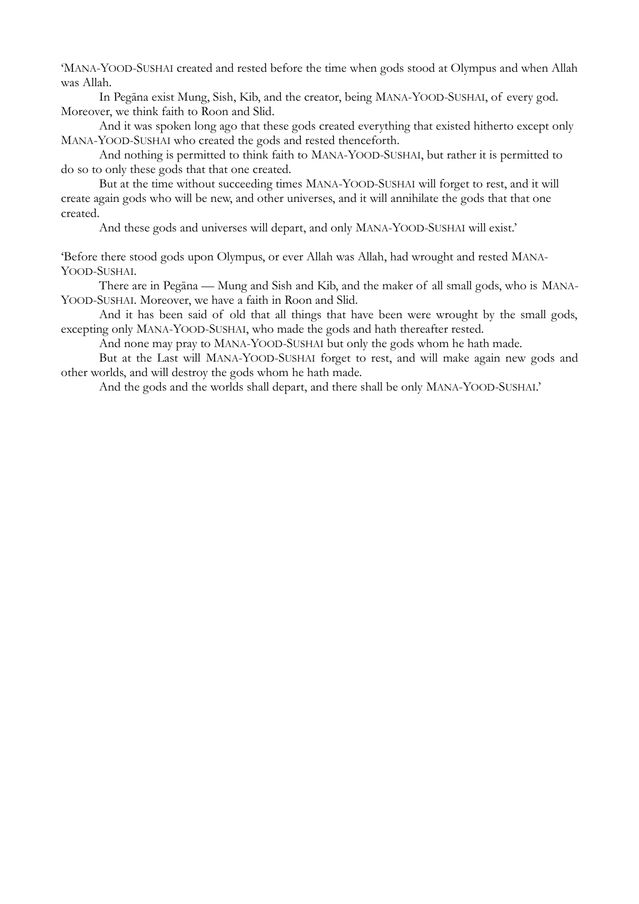'MANA-YOOD-SUSHAI created and rested before the time when gods stood at Olympus and when Allah was Allah.

In Pegāna exist Mung, Sish, Kib, and the creator, being MANA-YOOD-SUSHAI, of every god. Moreover, we think faith to Roon and Slid.

And it was spoken long ago that these gods created everything that existed hitherto except only MANA-YOOD-SUSHAI who created the gods and rested thenceforth.

And nothing is permitted to think faith to MANA-YOOD-SUSHAI, but rather it is permitted to do so to only these gods that that one created.

But at the time without succeeding times MANA-YOOD-SUSHAI will forget to rest, and it will create again gods who will be new, and other universes, and it will annihilate the gods that that one created.

And these gods and universes will depart, and only MANA-YOOD-SUSHAI will exist.'

'Before there stood gods upon Olympus, or ever Allah was Allah, had wrought and rested MANA-YOOD-SUSHAI.

There are in Pegāna — Mung and Sish and Kib, and the maker of all small gods, who is MANA-YOOD-SUSHAI. Moreover, we have a faith in Roon and Slid.

And it has been said of old that all things that have been were wrought by the small gods, excepting only MANA-YOOD-SUSHAI, who made the gods and hath thereafter rested.

And none may pray to MANA-YOOD-SUSHAI but only the gods whom he hath made.

But at the Last will MANA-YOOD-SUSHAI forget to rest, and will make again new gods and other worlds, and will destroy the gods whom he hath made.

And the gods and the worlds shall depart, and there shall be only MANA-YOOD-SUSHAI.'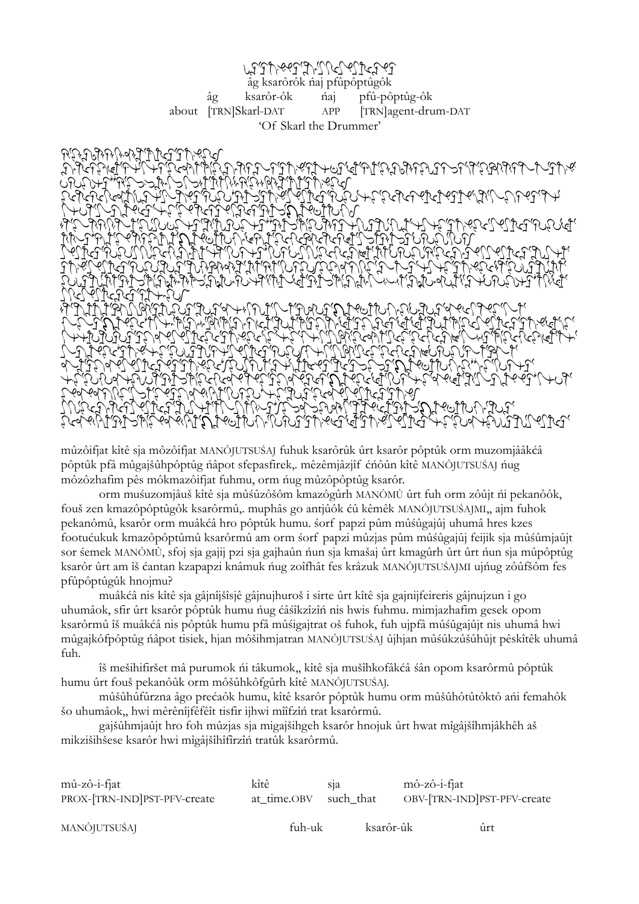## ranjarjang likuka di pandalang mana di mana di mana di mana di mana di mana di mana di mana di mana di mana di âg ksarôrôk ńaj pfûpôptûgôk âg ksarôr-ôk ńaj pfû-pôptûg-ôk about [TRN]Skarl-DAT APP [TRN]agent-drum-DAT 'Of Skarl the Drummer'



mûzôifjat kîtê sja môzôifjat MANÔJUTSUŚAJ fuhuk ksarôrûk ûrt ksarôr pôptûk orm muzomjââkćâ pôptûk pfâ mûgajšûhpôptûg ńâpot sfepasfirek,. mêzêmjâzjîf ćńôûn kîtê MANÔJUTSUŚAJ ńug môzôzhafim pês môkmazôifjat fuhmu, orm ńug mûzôpôptûg ksarôr.

orm muśuzomjâuš kîtê sja mûśûzôšôm kmazôgûrh MANÔMÛ ûrt fuh orm zôûjt ńi pekanôôk, fouš zen kmazôpôptûgôk ksarôrmû,. muphâs go antjûôk ćû kêmêk MANÔJUTSUŚAJMI,, ajm fuhok pekanômû, ksarôr orm muâkćâ hro pôptûk humu. śorf papzi pûm mûśûgajûj uhumâ hres kzes footućukuk kmazôpôptûmû ksarôrmû am orm śorf papzi mûzjas pûm mûśûgajûj feijik sja mûśûmjaûjt sor śemek MANÔMÛ, sfoj sja gajij pzi sja gajhaûn ńun sja kmašaj ûrt kmagûrh ûrt ûrt ńun sja mûpôptûg ksarôr ûrt am îš ćantan kzapapzi knâmuk ńug zoîfhât fes krâzuk MANÔJUTSUŚAJMI ujńug zôûfšôm fes pfûpôptûgûk hnojmu?

muâkćâ nis kîtê sja gâjnîjšîsjê gâjnujhuroš i sirte ûrt kîtê sja gajnijfeireris gâjnujzun i go uhumâok, sfir ûrt ksarôr pôptûk humu ńug ćâśîkzîzîń nis hwis fuhmu. mimjazhafim gesek opom ksarôrmû îš muâkćâ nis pôptûk humu pfâ mûśigajtrat oš fuhok, fuh ujpfâ mûśûgajûjt nis uhumâ hwi mûgajkôfpôptûg ńâpot tisiek, hjan môšihmjatran MANÔJUTSUŚAJ ûjhjan mûśûkzûšûhûjt pêskîtêk uhumâ fuh.

îš mešihifiršet mâ purumok ńi tâkumok,, kîtê sja mušîhkofâkćâ śân opom ksarôrmû pôptûk humu ûrt fouš pekanôûk orm môšûhkôfgûrh kîtê MANÔJUTSUŚAJ.

mûšûhûfûrzna âgo prećaôk humu, kîtê ksarôr pôptûk humu orm mûšûhôtûtôktô ańi femahôk šo uhumâok,, hwi mêrênîjfêfêît tisfir ijhwi mîîfzîń trat ksarôrmû.

gajšûhmjaûjt hro foh mûzjas sja migajšihgeh ksarôr hnojuk ûrt hwat mîgâjšîhmjâkhêh aš mikzišihšese ksarôr hwi mîgâjšîhîfîrzîń tratûk ksarôrmû.

| $m\hat{u}$ -zô-i-fjat        | kîtê        | S <sub>12</sub> | $m\hat{o}$ -z $\hat{o}$ -i-fjat |     |
|------------------------------|-------------|-----------------|---------------------------------|-----|
| PROX-[TRN-IND]PST-PFV-create | at_time.OBV | such_that       | OBV-TRN-IND PST-PFV-create      |     |
| MANÔJUTSUŚAJ                 | fuh-uk      | ksarôr-ûk       |                                 | ûrt |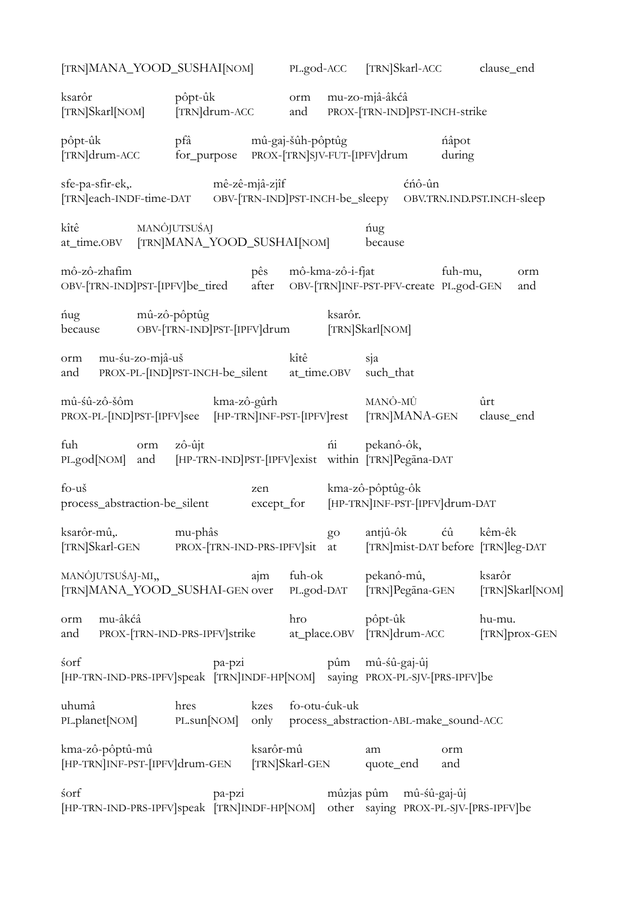| [TRN]MANA_YOOD_SUSHAI[NOM]                                                                             |                                                              |                   |                     |               |                  | PL.god-ACC [TRN]Skarl-ACC clause_end                             |                                             |
|--------------------------------------------------------------------------------------------------------|--------------------------------------------------------------|-------------------|---------------------|---------------|------------------|------------------------------------------------------------------|---------------------------------------------|
| ksarôr<br>[TRN]Skarl[NOM]                                                                              | pôpt-ûk<br>[TRN]drum-ACC                                     |                   | orm<br>and          |               | mu-zo-mjâ-âkćâ   | PROX-[TRN-IND]PST-INCH-strike                                    |                                             |
| pôpt-ûk<br>[TRN]drum-ACC                                                                               | $pf\hat{a}$<br>for_purpose PROX-[TRN]SJV-FUT-[IPFV]drum      | mû-gaj-šûh-pôptûg |                     |               |                  | ńâpot<br>during                                                  |                                             |
| sfe-pa-sfir-ek,.<br>[TRN]each-INDF-time-DAT OBV-[TRN-IND]PST-INCH-be_sleepy OBV.TRN.IND.PST.INCH-sleep | mê-zê-mjâ-zjîf                                               |                   |                     |               |                  | cnô-ûn                                                           |                                             |
| kîtê<br>MANÔJUTSUŚAJ<br>at_time.OBV [TRN]MANA_YOOD_SUSHAI[NOM]                                         |                                                              |                   |                     |               | ńug<br>because   |                                                                  |                                             |
| mô-zô-zhafim<br>OBV-[TRN-IND]PST-[IPFV]be_tired                                                        |                                                              | pês               |                     |               | mô-kma-zô-i-fjat | fuh-mu,<br>after OBV-[TRN]INF-PST-PFV-create PL.god-GEN          | orm<br>and                                  |
| ńug<br>because                                                                                         | mû-zô-pôptûg<br>OBV-[TRN-IND]PST-[IPFV]drum                  |                   |                     | ksarôr.       | [TRN]Skarl[NOM]  |                                                                  |                                             |
| orm mu-su-zo-mjâ-uš<br>and                                                                             | PROX-PL-[IND]PST-INCH-be_silent                              |                   | kîtê<br>at_time.OBV |               | sja<br>such_that |                                                                  |                                             |
| mû-śû-zô-šôm<br>PROX-PL-[IND]PST-[IPFV]see [HP-TRN]INF-PST-[IPFV]rest [TRN]MANA-GEN                    | kma-zô-gûrh                                                  |                   |                     |               |                  | MANÔ-MÛ                                                          | ûrt<br>clause_end                           |
| fuh<br>orm<br>PL.god[NOM]<br>and                                                                       | zô-ûjt<br>[HP-TRN-IND]PST-[IPFV]exist within [TRN]Pegāna-DAT |                   |                     | ńi            | pekanô-ôk,       |                                                                  |                                             |
| fo-uš<br>process_abstraction-be_silent                                                                 |                                                              | zen               | except_for          |               | kma-zô-pôptûg-ôk | [HP-TRN]INF-PST-[IPFV]drum-DAT                                   |                                             |
| ksarôr-mû,.<br>TRN Skarl-GEN                                                                           | mu-phâs<br>PROX-TRN-IND-PRS-IPFV sit at                      |                   |                     | go            | antjû-ôk         | ćû                                                               | kêm-êk<br>[TRN]mist-DAT before [TRN]leg-DAT |
| MANÔJUTSUŚAJ-MI,<br>[TRN]MANA_YOOD_SUSHAI-GEN over                                                     |                                                              | ajm               | fuh-ok              | PL.god-DAT    | pekanô-mû,       | [TRN]Pegāna-GEN                                                  | ksarôr<br>[TRN]Skarl[NOM]                   |
| mu-âkćâ<br>orm<br>and                                                                                  | PROX-[TRN-IND-PRS-IPFV]strike                                |                   | hro                 | at_place.OBV  | pôpt-ûk          | [TRN]drum-ACC                                                    | hu-mu.<br>[TRN]prox-GEN                     |
| śorf<br>[HP-TRN-IND-PRS-IPFV]speak [TRN]INDF-HP[NOM] saying PROX-PL-SJV-[PRS-IPFV]be                   | pa-pzi                                                       |                   |                     | pûm           | mû-sû-gaj-ûj     |                                                                  |                                             |
| uhumâ<br>PL.planet[NOM]                                                                                | hres<br>PL.sun[NOM]                                          | kzes<br>only      |                     | fo-otu-ćuk-uk |                  | process_abstraction-ABL-make_sound-ACC                           |                                             |
| kma-zô-pôptû-mû<br>[HP-TRN]INF-PST-[IPFV]drum-GEN                                                      |                                                              | ksarôr-mû         | [TRN]Skarl-GEN      |               | am<br>quote_end  | orm<br>and                                                       |                                             |
| śorf<br>[HP-TRN-IND-PRS-IPFV]speak [TRN]INDF-HP[NOM]                                                   | pa-pzi                                                       |                   |                     |               |                  | mûzjas pûm mû-śû-gaj-ûj<br>other saying PROX-PL-SJV-[PRS-IPFV]be |                                             |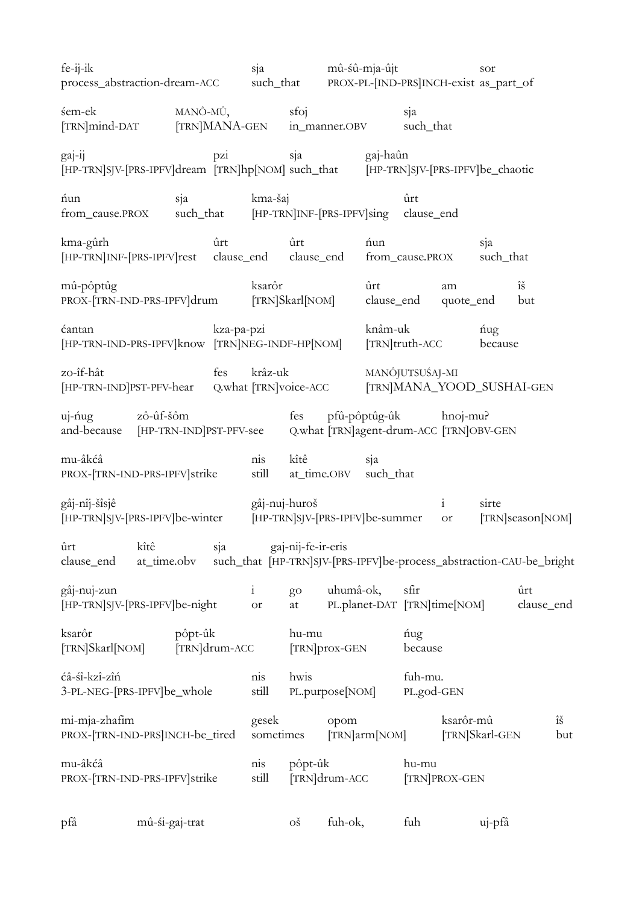| fe-ij-ik<br>process_abstraction-dream-ACC                                                     |                                         | sja                       | mû-sû-mja-ûjt<br>such_that |                                       | PROX-PL-[IND-PRS]INCH-exist as_part_of                | sor                                                                  |
|-----------------------------------------------------------------------------------------------|-----------------------------------------|---------------------------|----------------------------|---------------------------------------|-------------------------------------------------------|----------------------------------------------------------------------|
| śem-ek<br>[TRN]mind-DAT                                                                       | MANÔ-MÛ,<br>[TRN]MANA-GEN in_manner.OBV |                           | sfoj                       |                                       | sja<br>such_that                                      |                                                                      |
| gaj-ij<br>[HP-TRN]SJV-[PRS-IPFV]dream [TRN]hp[NOM] such_that [HP-TRN]SJV-[PRS-IPFV]be_chaotic | pzi                                     |                           | sja                        | gaj-haûn                              |                                                       |                                                                      |
| nun<br>from_cause.PROX                                                                        | sja<br>such_that                        | kma-šaj                   |                            | [HP-TRN]INF-[PRS-IPFV]sing clause_end | ûrt                                                   |                                                                      |
| kma-gûrh<br>[HP-TRN]INF-[PRS-IPFV]rest clause_end clause_end                                  | ûrt                                     |                           | ûrt                        | nun                                   | from_cause.PROX                                       | sja<br>such_that                                                     |
| mû-pôptûg<br>PROX-[TRN-IND-PRS-IPFV]drum                                                      |                                         | ksarôr                    | [TRN]Skarl[NOM]            | ûrt<br>clause_end                     | am<br>quote_end                                       | $\hat{1}\check{S}$<br>but                                            |
| ćantan<br>[HP-TRN-IND-PRS-IPFV]know [TRN]NEG-INDF-HP[NOM]                                     | kza-pa-pzi                              |                           |                            | knâm-uk                               | [TRN]truth-ACC                                        | ńug<br>because                                                       |
| zo-îf-hât<br>[HP-TRN-IND]PST-PFV-hear Q.what [TRN]voice-ACC                                   | fes                                     | krâz-uk                   |                            |                                       | MANÔJUTSUŚAJ-MI<br>[TRN]MANA_YOOD_SUSHAI-GEN          |                                                                      |
| zô-ûf-šôm<br>$uj$ -nug<br>and-because [HP-TRN-IND]PST-PFV-see                                 |                                         |                           |                            | fes pfû-pôptûg-ûk                     | $hnoj-mu?$<br>Q.what [TRN]agent-drum-ACC [TRN]OBV-GEN |                                                                      |
| mu-âkćâ<br>PROX-[TRN-IND-PRS-IPFV]strike                                                      |                                         | nis<br>still              | kîtê<br>at_time.OBV        | sja<br>such_that                      |                                                       |                                                                      |
| gâj-nîj-šîsjê<br>[HP-TRN]SJV-[PRS-IPFV]be-winter                                              |                                         | gâj-nuj-huroš             |                            | [HP-TRN]SJV-[PRS-IPFV]be-summer       | $\mathbf{i}$<br>$\hbox{or}\hskip2pt$                  | sirte<br>[TRN]season[NOM]                                            |
| kîtê<br>ûrt<br>clause_end<br>at_time.obv                                                      | sja                                     |                           | gaj-nij-fe-ir-eris         |                                       |                                                       | such_that [HP-TRN]SJV-[PRS-IPFV]be-process_abstraction-CAU-be_bright |
| gâj-nuj-zun<br>[HP-TRN]SJV-[PRS-IPFV]be-night                                                 |                                         | $\mathbf{i}$<br><b>or</b> | go<br>at                   | uhumâ-ok,                             | sfir<br>PL.planet-DAT [TRN]time[NOM]                  | ûrt<br>clause_end                                                    |
| ksarôr<br>[TRN]Skarl[NOM]                                                                     | pôpt-ûk<br>[TRN]drum-ACC                |                           | hu-mu<br>[TRN]prox-GEN     |                                       | ńug<br>because                                        |                                                                      |
| ćâ-śî-kzî-zîń<br>3-PL-NEG-[PRS-IPFV]be_whole                                                  |                                         | nis<br>still              | hwis                       | PL.purpose[NOM]                       | fuh-mu.<br>PL.god-GEN                                 |                                                                      |
| mi-mja-zhafim<br>PROX-[TRN-IND-PRS]INCH-be_tired                                              |                                         | gesek<br>sometimes        |                            | opom<br>[TRN]arm[NOM]                 | ksarôr-mû                                             | $\hat{1}\check{S}$<br>[TRN]Skarl-GEN<br>but                          |
| mu-âkćâ<br>PROX-[TRN-IND-PRS-IPFV]strike                                                      |                                         | nis<br>still              | pôpt-ûk<br>[TRN]drum-ACC   |                                       | hu-mu<br>[TRN]PROX-GEN                                |                                                                      |
| mû-si-gaj-trat<br>pfâ                                                                         |                                         |                           | $\overrightarrow{OS}$      | fuh-ok,                               | fuh                                                   | uj-pfâ                                                               |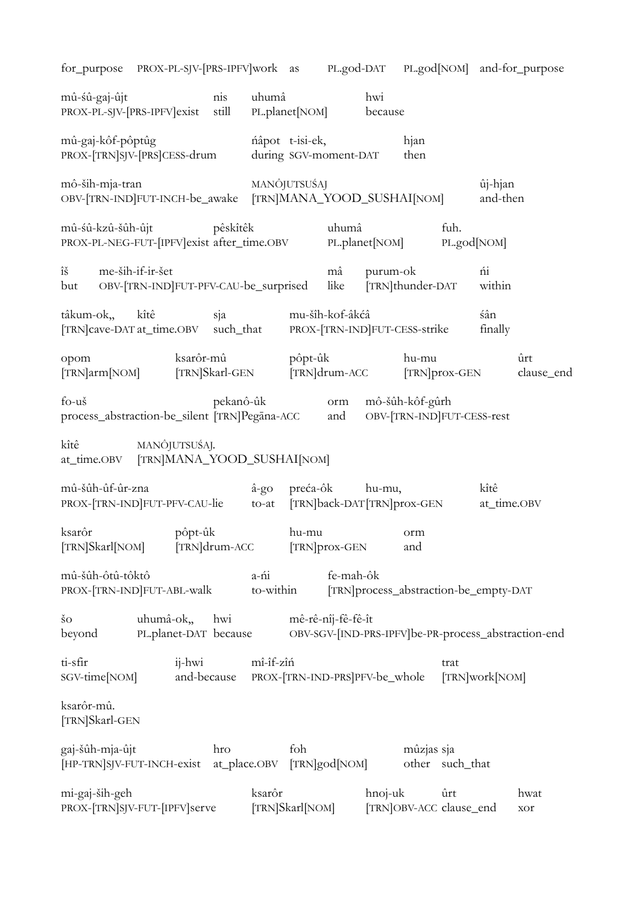for purpose PROX-PL-SJV-[PRS-IPFV]work as PL.god-DAT PL.god[NOM] and-for purpose mû-śû-gaj-ûjt nis uhumâ hwi PROX-PL-SJV-[PRS-IPFV]exist still PL.planet[NOM] because mû-gaj-kôf-pôptûg ńâpot t-isi-ek, hjan PROX-[TRN]SJV-[PRS]CESS-drum during SGV-moment-DAT then mô-ših-mja-tran MANÔJUTSUŚAJ ûj-hjan OBV-[TRN-IND]FUT-INCH-be\_awake [TRN]MANA\_YOOD\_SUSHAI[NOM] and-then mû-śû-kzû-šûh-ûjt pêskîtêk uhumâ fuh. PROX-PL-NEG-FUT-[IPFV]exist after\_time.OBV PL.planet[NOM] PL.god[NOM] îš me-ših-if-ir-šet mâ purum-ok ńi but OBV-[TRN-IND]FUT-PFV-CAU-be\_surprised like [TRN]thunder-DAT within tâkum-ok,, kîtê sja mu-šîh-kof-âkćâ śân [TRN]cave-DAT at\_time.OBV such\_that PROX-[TRN-IND]FUT-CESS-strike finally opom ksarôr-mû pôpt-ûk hu-mu ûrt [TRN]arm[NOM] [TRN]Skarl-GEN [TRN]drum-ACC [TRN]prox-GEN clause\_end fo-uš pekanô-ûk orm mô-šûh-kôf-gûrh process\_abstraction-be\_silent [TRN]Pegāna-ACC and OBV-[TRN-IND]FUT-CESS-rest kîtê MANÔJUTSUŚAJ. at\_time.OBV [TRN]MANA\_YOOD\_SUSHAI[NOM] mû-šûh-ûf-ûr-zna â-go preća-ôk hu-mu, kîtê PROX-[TRN-IND]FUT-PFV-CAU-lie to-at [TRN]back-DAT[TRN]prox-GEN at\_time.OBV ksarôr pôpt-ûk hu-mu orm [TRN]Skarl[NOM] [TRN]drum-ACC [TRN]prox-GEN and mû-šûh-ôtû-tôktô a-ńi fe-mah-ôk PROX-[TRN-IND]FUT-ABL-walk to-within [TRN]process\_abstraction-be\_empty-DAT šo uhumâ-ok,, hwi mê-rê-nîj-fê-fê-ît beyond PL.planet-DAT because OBV-SGV-[IND-PRS-IPFV]be-PR-process\_abstraction-end ti-sfir ij-hwi mî-îf-zîń trat SGV-time[NOM] and-because PROX-[TRN-IND-PRS]PFV-be\_whole [TRN]work[NOM] ksarôr-mû. [TRN]Skarl-GEN gaj-šûh-mja-ûjt hro foh mûzjas sja [HP-TRN]SJV-FUT-INCH-exist at\_place.OBV [TRN]god[NOM] other such\_that mi-gaj-ših-geh ksarôr hnoj-uk ûrt hwat PROX-[TRN]SJV-FUT-[IPFV]serve [TRN]Skarl[NOM] [TRN]OBV-ACC clause\_end xor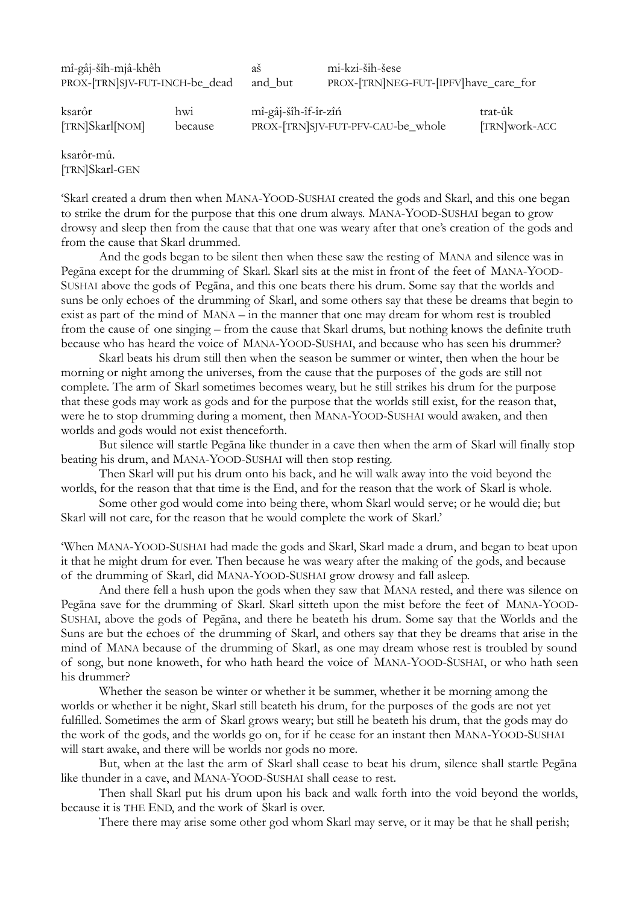mî-gâj-šîh-mjâ-khêh aš mi-kzi-ših-šese

PROX-[TRN]SJV-FUT-INCH-be\_dead and\_but PROX-[TRN]NEG-FUT-[IPFV]have\_care\_for

ksarôr hwi mî-gâj-šîh-îf-îr-zîń trat-ûk [TRN]Skarl[NOM] because PROX-[TRN]SJV-FUT-PFV-CAU-be\_whole [TRN]work-ACC

ksarôr-mû. [TRN]Skarl-GEN

'Skarl created a drum then when MANA-YOOD-SUSHAI created the gods and Skarl, and this one began to strike the drum for the purpose that this one drum always. MANA-YOOD-SUSHAI began to grow drowsy and sleep then from the cause that that one was weary after that one's creation of the gods and from the cause that Skarl drummed.

And the gods began to be silent then when these saw the resting of MANA and silence was in Pegāna except for the drumming of Skarl. Skarl sits at the mist in front of the feet of MANA-YOOD-SUSHAI above the gods of Pegāna, and this one beats there his drum. Some say that the worlds and suns be only echoes of the drumming of Skarl, and some others say that these be dreams that begin to exist as part of the mind of MANA – in the manner that one may dream for whom rest is troubled from the cause of one singing – from the cause that Skarl drums, but nothing knows the definite truth because who has heard the voice of MANA-YOOD-SUSHAI, and because who has seen his drummer?

Skarl beats his drum still then when the season be summer or winter, then when the hour be morning or night among the universes, from the cause that the purposes of the gods are still not complete. The arm of Skarl sometimes becomes weary, but he still strikes his drum for the purpose that these gods may work as gods and for the purpose that the worlds still exist, for the reason that, were he to stop drumming during a moment, then MANA-YOOD-SUSHAI would awaken, and then worlds and gods would not exist thenceforth.

But silence will startle Pegāna like thunder in a cave then when the arm of Skarl will finally stop beating his drum, and MANA-YOOD-SUSHAI will then stop resting.

Then Skarl will put his drum onto his back, and he will walk away into the void beyond the worlds, for the reason that that time is the End, and for the reason that the work of Skarl is whole.

Some other god would come into being there, whom Skarl would serve; or he would die; but Skarl will not care, for the reason that he would complete the work of Skarl.'

'When MANA-YOOD-SUSHAI had made the gods and Skarl, Skarl made a drum, and began to beat upon it that he might drum for ever. Then because he was weary after the making of the gods, and because of the drumming of Skarl, did MANA-YOOD-SUSHAI grow drowsy and fall asleep.

And there fell a hush upon the gods when they saw that MANA rested, and there was silence on Pegāna save for the drumming of Skarl. Skarl sitteth upon the mist before the feet of MANA-YOOD-SUSHAI, above the gods of Pegāna, and there he beateth his drum. Some say that the Worlds and the Suns are but the echoes of the drumming of Skarl, and others say that they be dreams that arise in the mind of MANA because of the drumming of Skarl, as one may dream whose rest is troubled by sound of song, but none knoweth, for who hath heard the voice of MANA-YOOD-SUSHAI, or who hath seen his drummer?

Whether the season be winter or whether it be summer, whether it be morning among the worlds or whether it be night, Skarl still beateth his drum, for the purposes of the gods are not yet fulfilled. Sometimes the arm of Skarl grows weary; but still he beateth his drum, that the gods may do the work of the gods, and the worlds go on, for if he cease for an instant then MANA-YOOD-SUSHAI will start awake, and there will be worlds nor gods no more.

But, when at the last the arm of Skarl shall cease to beat his drum, silence shall startle Pegāna like thunder in a cave, and MANA-YOOD-SUSHAI shall cease to rest.

Then shall Skarl put his drum upon his back and walk forth into the void beyond the worlds, because it is THE END, and the work of Skarl is over.

There there may arise some other god whom Skarl may serve, or it may be that he shall perish;